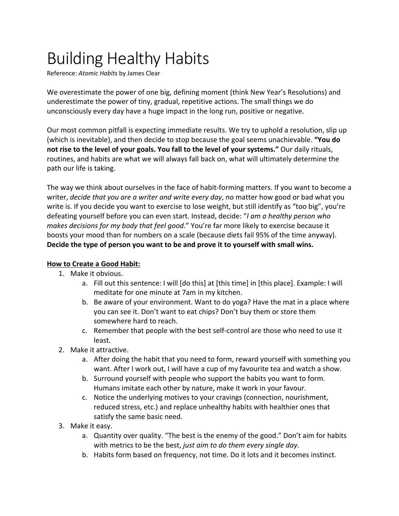## Building Healthy Habits

Reference: *Atomic Habits* by James Clear

We overestimate the power of one big, defining moment (think New Year's Resolutions) and underestimate the power of tiny, gradual, repetitive actions. The small things we do unconsciously every day have a huge impact in the long run, positive or negative.

Our most common pitfall is expecting immediate results. We try to uphold a resolution, slip up (which is inevitable), and then decide to stop because the goal seems unachievable. **"You do not rise to the level of your goals. You fall to the level of your systems."** Our daily rituals, routines, and habits are what we will always fall back on, what will ultimately determine the path our life is taking.

The way we think about ourselves in the face of habit-forming matters. If you want to become a writer, *decide that you are a writer and write every day*, no matter how good or bad what you write is. If you decide you want to exercise to lose weight, but still identify as "too big", you're defeating yourself before you can even start. Instead, decide: "*I am a healthy person who makes decisions for my body that feel good*." You're far more likely to exercise because it boosts your mood than for numbers on a scale (because diets fail 95% of the time anyway). **Decide the type of person you want to be and prove it to yourself with small wins.**

## **How to Create a Good Habit:**

- 1. Make it obvious.
	- a. Fill out this sentence: I will [do this] at [this time] in [this place]. Example: I will meditate for one minute at 7am in my kitchen.
	- b. Be aware of your environment. Want to do yoga? Have the mat in a place where you can see it. Don't want to eat chips? Don't buy them or store them somewhere hard to reach.
	- c. Remember that people with the best self-control are those who need to use it least.
- 2. Make it attractive.
	- a. After doing the habit that you need to form, reward yourself with something you want. After I work out, I will have a cup of my favourite tea and watch a show.
	- b. Surround yourself with people who support the habits you want to form. Humans imitate each other by nature, make it work in your favour.
	- c. Notice the underlying motives to your cravings (connection, nourishment, reduced stress, etc.) and replace unhealthy habits with healthier ones that satisfy the same basic need.
- 3. Make it easy.
	- a. Quantity over quality. "The best is the enemy of the good." Don't aim for habits with metrics to be the best, *just aim to do them every single day*.
	- b. Habits form based on frequency, not time. Do it lots and it becomes instinct.